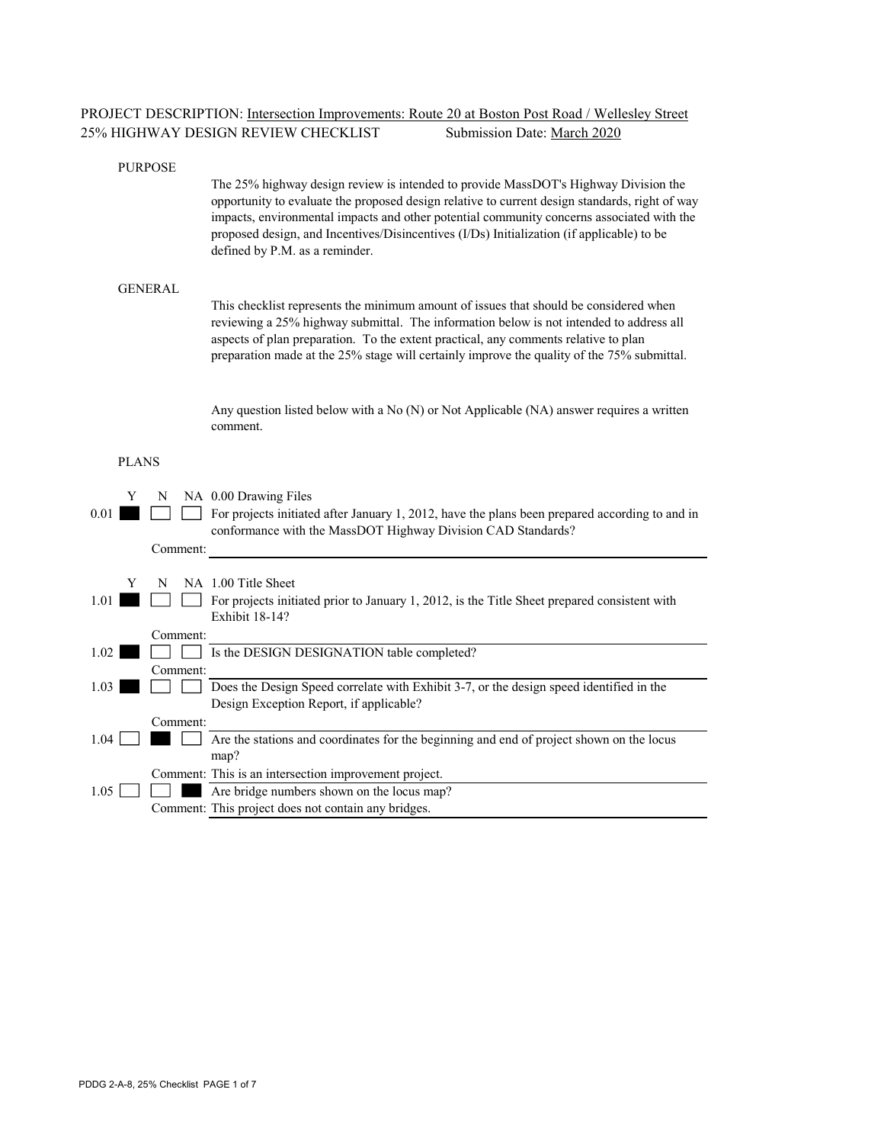| <b>PROJECT DESCRIPTION:</b> Intersection Improvements: Route 20 at Boston Post Road / Wellesley Street |                             |  |  |
|--------------------------------------------------------------------------------------------------------|-----------------------------|--|--|
| 25% HIGHWAY DESIGN REVIEW CHECKLIST                                                                    | Submission Date: March 2020 |  |  |

#### PURPOSE

The 25% highway design review is intended to provide MassDOT's Highway Division the opportunity to evaluate the proposed design relative to current design standards, right of way impacts, environmental impacts and other potential community concerns associated with the proposed design, and Incentives/Disincentives (I/Ds) Initialization (if applicable) to be defined by P.M. as a reminder.

#### GENERAL

This checklist represents the minimum amount of issues that should be considered when reviewing a 25% highway submittal. The information below is not intended to address all aspects of plan preparation. To the extent practical, any comments relative to plan preparation made at the 25% stage will certainly improve the quality of the 75% submittal.

Any question listed below with a No (N) or Not Applicable (NA) answer requires a written comment.

#### PLANS

| 0.01     | Y | N        | NA 0.00 Drawing Files<br>For projects initiated after January 1, 2012, have the plans been prepared according to and in<br>conformance with the MassDOT Highway Division CAD Standards? |
|----------|---|----------|-----------------------------------------------------------------------------------------------------------------------------------------------------------------------------------------|
|          |   | Comment: |                                                                                                                                                                                         |
| 1.01     | Y | N        | NA 1.00 Title Sheet<br>For projects initiated prior to January 1, 2012, is the Title Sheet prepared consistent with<br>Exhibit 18-14?                                                   |
|          |   | Comment: |                                                                                                                                                                                         |
| 1.02     |   |          | Is the DESIGN DESIGNATION table completed?                                                                                                                                              |
| $1.03 -$ |   | Comment: | Does the Design Speed correlate with Exhibit 3-7, or the design speed identified in the<br>Design Exception Report, if applicable?                                                      |
|          |   | Comment: |                                                                                                                                                                                         |
| 1.04     |   |          | Are the stations and coordinates for the beginning and end of project shown on the locus<br>map?                                                                                        |
|          |   |          | Comment: This is an intersection improvement project.                                                                                                                                   |
| 1.05     |   |          | Are bridge numbers shown on the locus map?                                                                                                                                              |
|          |   |          | Comment: This project does not contain any bridges.                                                                                                                                     |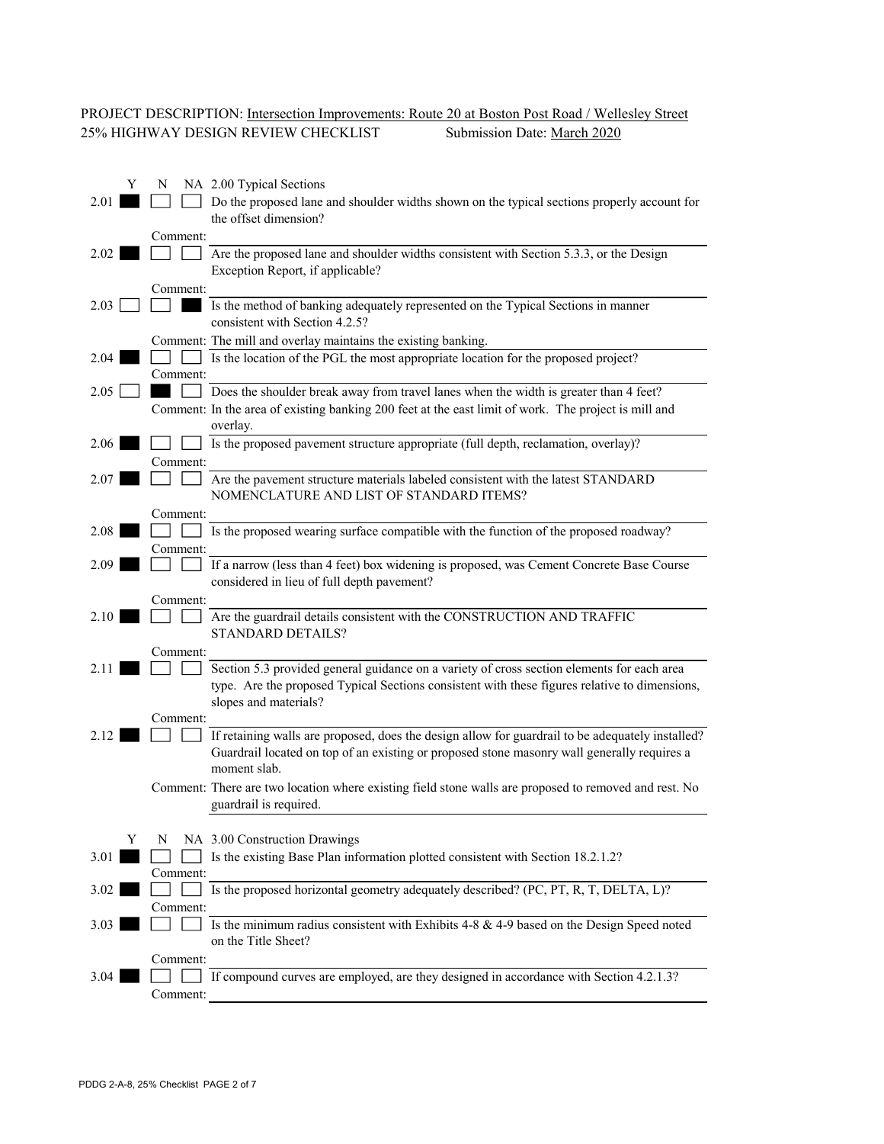# PROJECT DESCRIPTION: <u>Intersection Improvements: Route 20 at Boston Post Road / Wellesley Street</u><br>25% HIGHWAY DESIGN REVIEW CHECKLIST Submission Date: <u>March 2020</u> 25% HIGHWAY DESIGN REVIEW CHECKLIST

|      |   | N        | NA 2.00 Typical Sections                                                                                                                                                                                             |
|------|---|----------|----------------------------------------------------------------------------------------------------------------------------------------------------------------------------------------------------------------------|
| 2.01 |   |          | Do the proposed lane and shoulder widths shown on the typical sections properly account for<br>the offset dimension?                                                                                                 |
|      |   | Comment: |                                                                                                                                                                                                                      |
| 2.02 |   |          | Are the proposed lane and shoulder widths consistent with Section 5.3.3, or the Design<br>Exception Report, if applicable?                                                                                           |
|      |   | Comment: |                                                                                                                                                                                                                      |
| 2.03 |   |          | Is the method of banking adequately represented on the Typical Sections in manner<br>consistent with Section 4.2.5?                                                                                                  |
|      |   |          | Comment: The mill and overlay maintains the existing banking.                                                                                                                                                        |
| 2.04 |   | Comment: | Is the location of the PGL the most appropriate location for the proposed project?                                                                                                                                   |
| 2.05 |   |          | Does the shoulder break away from travel lanes when the width is greater than 4 feet?                                                                                                                                |
|      |   |          | Comment: In the area of existing banking 200 feet at the east limit of work. The project is mill and<br>overlay.                                                                                                     |
| 2.06 |   |          | Is the proposed pavement structure appropriate (full depth, reclamation, overlay)?                                                                                                                                   |
|      |   | Comment: |                                                                                                                                                                                                                      |
| 2.07 |   |          | Are the pavement structure materials labeled consistent with the latest STANDARD<br>NOMENCLATURE AND LIST OF STANDARD ITEMS?                                                                                         |
|      |   | Comment: |                                                                                                                                                                                                                      |
| 2.08 |   |          | Is the proposed wearing surface compatible with the function of the proposed roadway?                                                                                                                                |
|      |   | Comment: |                                                                                                                                                                                                                      |
| 2.09 |   |          | If a narrow (less than 4 feet) box widening is proposed, was Cement Concrete Base Course<br>considered in lieu of full depth pavement?                                                                               |
|      |   | Comment: |                                                                                                                                                                                                                      |
| 2.10 |   |          | Are the guardrail details consistent with the CONSTRUCTION AND TRAFFIC                                                                                                                                               |
|      |   |          | <b>STANDARD DETAILS?</b>                                                                                                                                                                                             |
|      |   | Comment: |                                                                                                                                                                                                                      |
|      |   |          |                                                                                                                                                                                                                      |
| 2.11 |   |          |                                                                                                                                                                                                                      |
|      |   |          | Section 5.3 provided general guidance on a variety of cross section elements for each area<br>type. Are the proposed Typical Sections consistent with these figures relative to dimensions,<br>slopes and materials? |
|      |   | Comment: |                                                                                                                                                                                                                      |
| 2.12 |   |          | If retaining walls are proposed, does the design allow for guardrail to be adequately installed?<br>Guardrail located on top of an existing or proposed stone masonry wall generally requires a<br>moment slab.      |
|      |   |          | Comment: There are two location where existing field stone walls are proposed to removed and rest. No                                                                                                                |
|      |   |          | guardrail is required.                                                                                                                                                                                               |
|      | Y | N        | NA 3.00 Construction Drawings                                                                                                                                                                                        |
| 3.01 |   |          | Is the existing Base Plan information plotted consistent with Section 18.2.1.2?                                                                                                                                      |
|      |   | Comment: |                                                                                                                                                                                                                      |
| 3.02 |   |          | Is the proposed horizontal geometry adequately described? (PC, PT, R, T, DELTA, L)?                                                                                                                                  |
|      |   | Comment: |                                                                                                                                                                                                                      |
| 3.03 |   |          | Is the minimum radius consistent with Exhibits 4-8 $&$ 4-9 based on the Design Speed noted<br>on the Title Sheet?                                                                                                    |
|      |   | Comment: |                                                                                                                                                                                                                      |
| 3.04 |   | Comment: | If compound curves are employed, are they designed in accordance with Section 4.2.1.3?                                                                                                                               |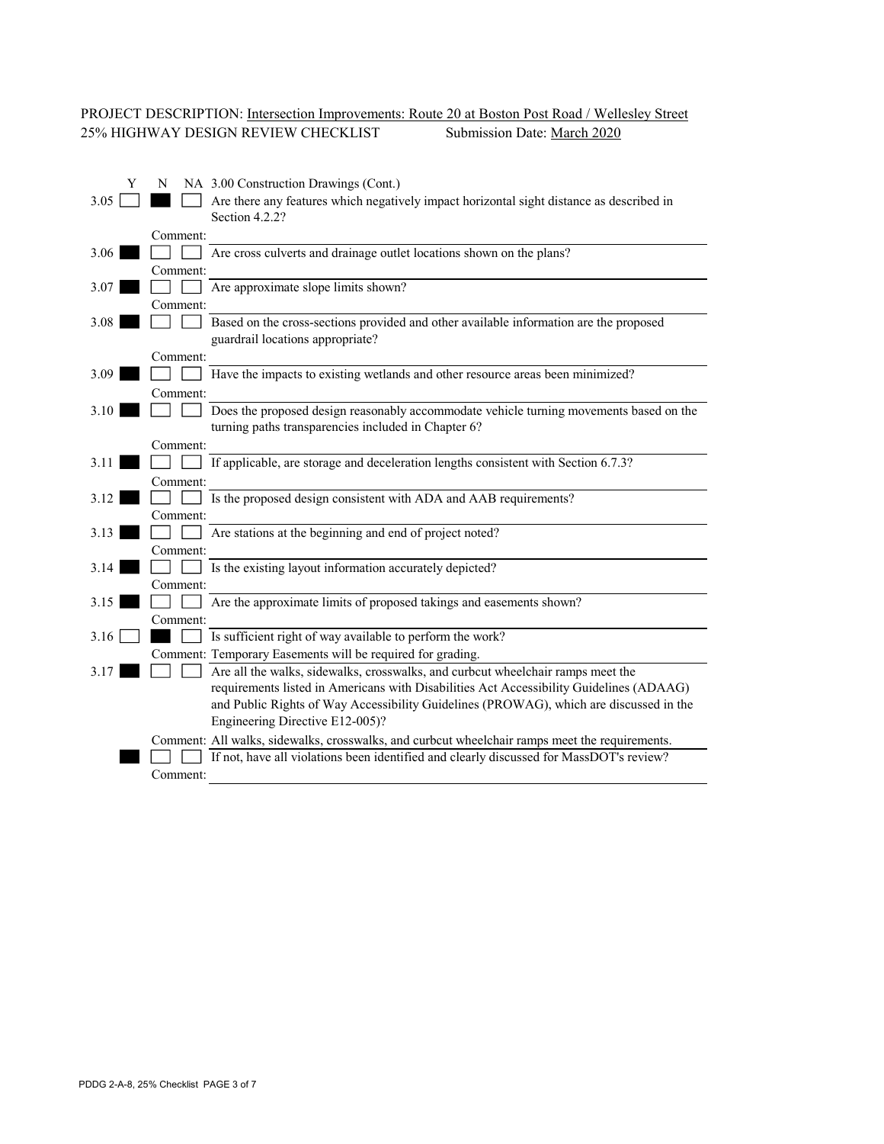# PROJECT DESCRIPTION: Intersection Improvements: Route 20 at Boston Post Road / Wellesley Street 25% HIGHWAY DESIGN REVIEW CHECKLIST Submission Date: March 2020

| Y    | NA 3.00 Construction Drawings (Cont.)<br>N                                                     |
|------|------------------------------------------------------------------------------------------------|
| 3.05 | Are there any features which negatively impact horizontal sight distance as described in       |
|      | Section 4.2.2?                                                                                 |
|      | Comment:                                                                                       |
| 3.06 | Are cross culverts and drainage outlet locations shown on the plans?                           |
|      | Comment:                                                                                       |
| 3.07 | Are approximate slope limits shown?                                                            |
|      | Comment:                                                                                       |
| 3.08 | Based on the cross-sections provided and other available information are the proposed          |
|      | guardrail locations appropriate?                                                               |
|      | Comment:                                                                                       |
| 3.09 | Have the impacts to existing wetlands and other resource areas been minimized?                 |
|      | Comment:                                                                                       |
| 3.10 | Does the proposed design reasonably accommodate vehicle turning movements based on the         |
|      | turning paths transparencies included in Chapter 6?                                            |
|      | Comment:                                                                                       |
| 3.11 | If applicable, are storage and deceleration lengths consistent with Section 6.7.3?             |
|      | Comment:                                                                                       |
| 3.12 | Is the proposed design consistent with ADA and AAB requirements?                               |
|      | Comment:                                                                                       |
| 3.13 | Are stations at the beginning and end of project noted?                                        |
|      | Comment:                                                                                       |
| 3.14 | Is the existing layout information accurately depicted?                                        |
|      | Comment:                                                                                       |
| 3.15 | Are the approximate limits of proposed takings and easements shown?                            |
|      | Comment:                                                                                       |
| 3.16 | Is sufficient right of way available to perform the work?                                      |
|      | Comment: Temporary Easements will be required for grading.                                     |
| 3.17 | Are all the walks, sidewalks, crosswalks, and curbcut wheelchair ramps meet the                |
|      | requirements listed in Americans with Disabilities Act Accessibility Guidelines (ADAAG)        |
|      | and Public Rights of Way Accessibility Guidelines (PROWAG), which are discussed in the         |
|      | Engineering Directive E12-005)?                                                                |
|      | Comment: All walks, sidewalks, crosswalks, and curbcut wheelchair ramps meet the requirements. |
|      | If not, have all violations been identified and clearly discussed for MassDOT's review?        |
|      | Comment:                                                                                       |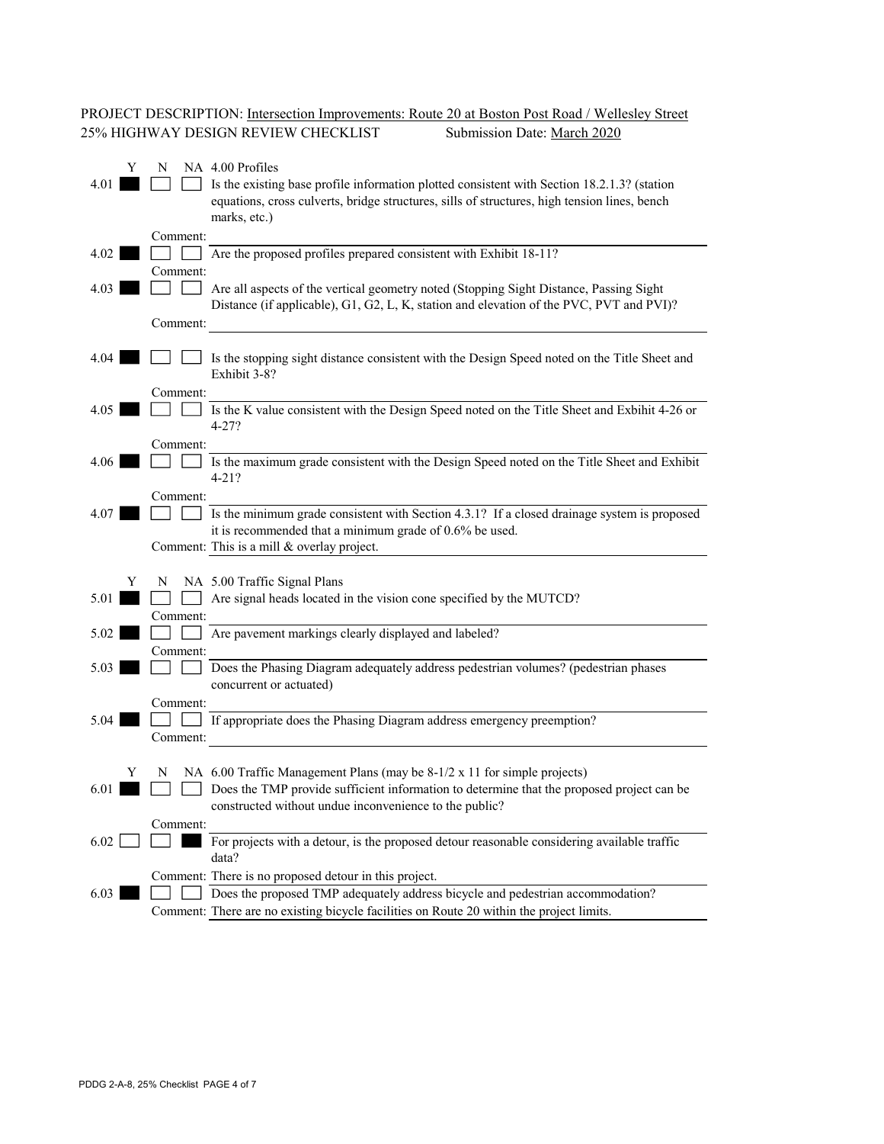# PROJECT DESCRIPTION: Intersection Improvements: Route 20 at Boston Post Road / Wellesley Street 25% HIGHWAY DESIGN REVIEW CHECKLIST Submission Date: March 2020

| 4.01 | Y | N        | NA 4.00 Profiles<br>Is the existing base profile information plotted consistent with Section 18.2.1.3? (station<br>equations, cross culverts, bridge structures, sills of structures, high tension lines, bench<br>marks, etc.) |
|------|---|----------|---------------------------------------------------------------------------------------------------------------------------------------------------------------------------------------------------------------------------------|
|      |   | Comment: |                                                                                                                                                                                                                                 |
| 4.02 |   | Comment: | Are the proposed profiles prepared consistent with Exhibit 18-11?                                                                                                                                                               |
| 4.03 |   |          | Are all aspects of the vertical geometry noted (Stopping Sight Distance, Passing Sight<br>Distance (if applicable), G1, G2, L, K, station and elevation of the PVC, PVT and PVI)?                                               |
|      |   | Comment: |                                                                                                                                                                                                                                 |
| 4.04 |   |          | Is the stopping sight distance consistent with the Design Speed noted on the Title Sheet and<br>Exhibit 3-8?                                                                                                                    |
|      |   | Comment: |                                                                                                                                                                                                                                 |
| 4.05 |   |          | Is the K value consistent with the Design Speed noted on the Title Sheet and Exbihit 4-26 or<br>$4 - 27?$                                                                                                                       |
| 4.06 |   | Comment: | Is the maximum grade consistent with the Design Speed noted on the Title Sheet and Exhibit                                                                                                                                      |
|      |   |          | $4 - 21?$                                                                                                                                                                                                                       |
|      |   | Comment: |                                                                                                                                                                                                                                 |
| 4.07 |   |          | Is the minimum grade consistent with Section 4.3.1? If a closed drainage system is proposed                                                                                                                                     |
|      |   |          | it is recommended that a minimum grade of $0.6\%$ be used.                                                                                                                                                                      |
|      |   |          | Comment: This is a mill & overlay project.                                                                                                                                                                                      |
|      | Y | N        | NA 5.00 Traffic Signal Plans                                                                                                                                                                                                    |
| 5.01 |   |          | Are signal heads located in the vision cone specified by the MUTCD?                                                                                                                                                             |
|      |   | Comment: |                                                                                                                                                                                                                                 |
| 5.02 |   |          | Are pavement markings clearly displayed and labeled?                                                                                                                                                                            |
|      |   | Comment: |                                                                                                                                                                                                                                 |
| 5.03 |   |          | Does the Phasing Diagram adequately address pedestrian volumes? (pedestrian phases<br>concurrent or actuated)                                                                                                                   |
|      |   | Comment: |                                                                                                                                                                                                                                 |
| 5.04 |   |          | If appropriate does the Phasing Diagram address emergency preemption?                                                                                                                                                           |
|      |   | Comment: |                                                                                                                                                                                                                                 |
|      |   |          |                                                                                                                                                                                                                                 |
|      | Y | N        | NA $6.00$ Traffic Management Plans (may be $8-1/2 \times 11$ for simple projects)                                                                                                                                               |
| 6.01 |   |          | Does the TMP provide sufficient information to determine that the proposed project can be<br>constructed without undue inconvenience to the public?                                                                             |
|      |   | Comment: |                                                                                                                                                                                                                                 |
| 6.02 |   |          | For projects with a detour, is the proposed detour reasonable considering available traffic                                                                                                                                     |
|      |   |          | data?                                                                                                                                                                                                                           |
|      |   |          | Comment: There is no proposed detour in this project.                                                                                                                                                                           |
| 6.03 |   |          | Does the proposed TMP adequately address bicycle and pedestrian accommodation?                                                                                                                                                  |
|      |   |          | Comment: There are no existing bicycle facilities on Route 20 within the project limits.                                                                                                                                        |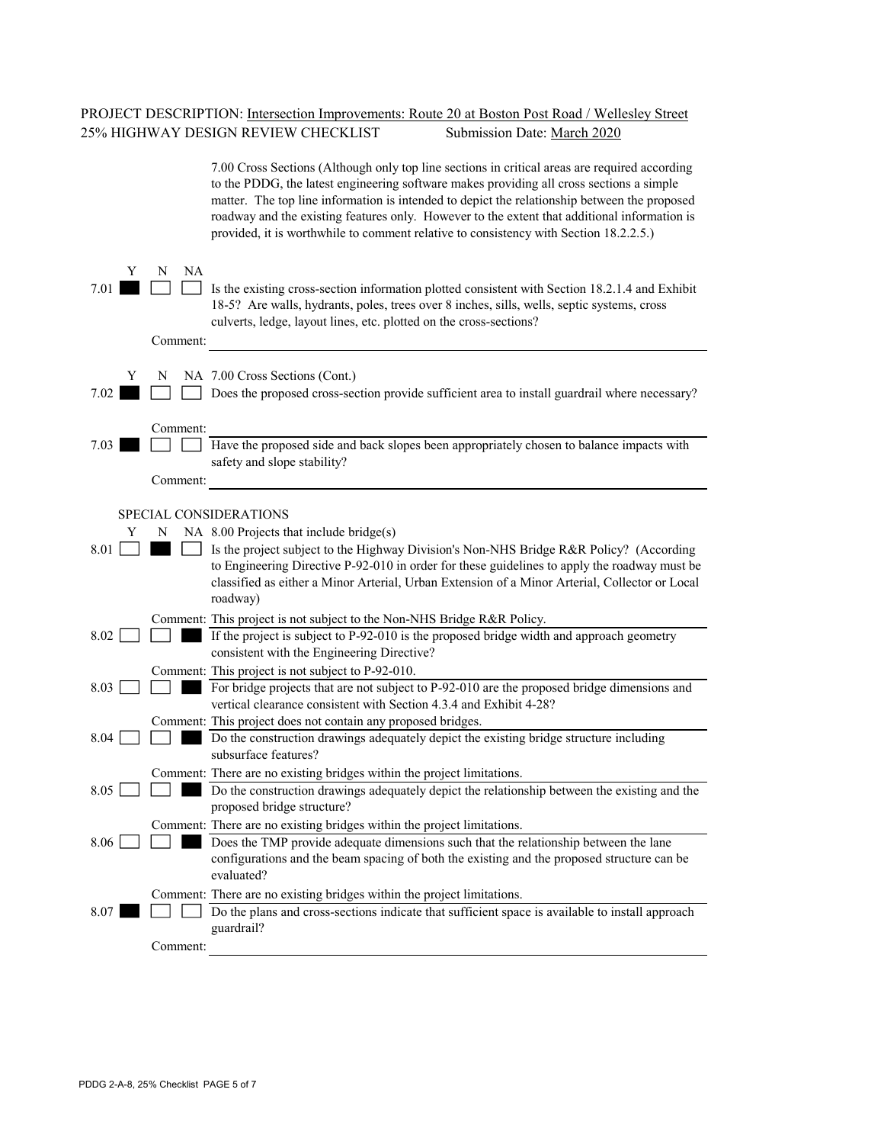# PROJECT DESCRIPTION: <u>Intersection Improvements: Route 20 at Boston Post Road / Wellesley Street</u><br>25% HIGHWAY DESIGN REVIEW CHECKLIST Submission Date: <u>March 2020</u> 25% HIGHWAY DESIGN REVIEW CHECKLIST

|           |                      | 7.00 Cross Sections (Although only top line sections in critical areas are required according<br>to the PDDG, the latest engineering software makes providing all cross sections a simple<br>matter. The top line information is intended to depict the relationship between the proposed<br>roadway and the existing features only. However to the extent that additional information is<br>provided, it is worthwhile to comment relative to consistency with Section 18.2.2.5.) |
|-----------|----------------------|------------------------------------------------------------------------------------------------------------------------------------------------------------------------------------------------------------------------------------------------------------------------------------------------------------------------------------------------------------------------------------------------------------------------------------------------------------------------------------|
| Y<br>7.01 | NA<br>N<br>Comment:  | Is the existing cross-section information plotted consistent with Section 18.2.1.4 and Exhibit<br>18-5? Are walls, hydrants, poles, trees over 8 inches, sills, wells, septic systems, cross<br>culverts, ledge, layout lines, etc. plotted on the cross-sections?                                                                                                                                                                                                                 |
| Y<br>7.02 | N                    | NA 7.00 Cross Sections (Cont.)<br>Does the proposed cross-section provide sufficient area to install guardrail where necessary?                                                                                                                                                                                                                                                                                                                                                    |
| 7.03      | Comment:<br>Comment: | Have the proposed side and back slopes been appropriately chosen to balance impacts with<br>safety and slope stability?                                                                                                                                                                                                                                                                                                                                                            |
| Y<br>8.01 | N                    | SPECIAL CONSIDERATIONS<br>NA $8.00$ Projects that include bridge(s)<br>Is the project subject to the Highway Division's Non-NHS Bridge R&R Policy? (According<br>to Engineering Directive P-92-010 in order for these guidelines to apply the roadway must be<br>classified as either a Minor Arterial, Urban Extension of a Minor Arterial, Collector or Local<br>roadway)                                                                                                        |
| 8.02      |                      | Comment: This project is not subject to the Non-NHS Bridge R&R Policy.<br>If the project is subject to P-92-010 is the proposed bridge width and approach geometry<br>consistent with the Engineering Directive?                                                                                                                                                                                                                                                                   |
| 8.03      |                      | Comment: This project is not subject to P-92-010.<br>For bridge projects that are not subject to P-92-010 are the proposed bridge dimensions and<br>vertical clearance consistent with Section 4.3.4 and Exhibit 4-28?                                                                                                                                                                                                                                                             |
| 8.04      |                      | Comment: This project does not contain any proposed bridges.<br>Do the construction drawings adequately depict the existing bridge structure including<br>subsurface features?                                                                                                                                                                                                                                                                                                     |
| 8.05      |                      | Comment: There are no existing bridges within the project limitations.<br>Do the construction drawings adequately depict the relationship between the existing and the<br>proposed bridge structure?                                                                                                                                                                                                                                                                               |
| 8.06      |                      | Comment: There are no existing bridges within the project limitations.<br>Does the TMP provide adequate dimensions such that the relationship between the lane<br>configurations and the beam spacing of both the existing and the proposed structure can be<br>evaluated?                                                                                                                                                                                                         |
| 8.07      |                      | Comment: There are no existing bridges within the project limitations.<br>Do the plans and cross-sections indicate that sufficient space is available to install approach<br>guardrail?                                                                                                                                                                                                                                                                                            |
|           | Comment:             |                                                                                                                                                                                                                                                                                                                                                                                                                                                                                    |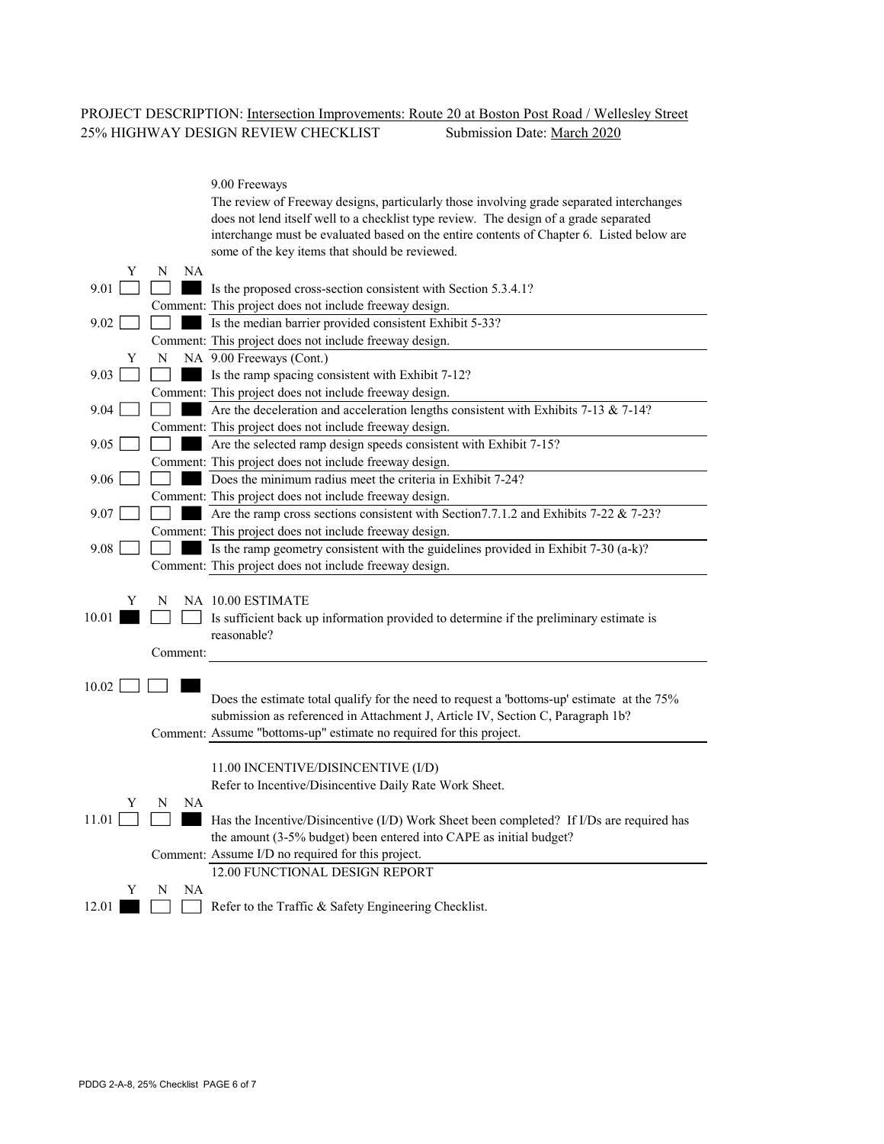#### PROJECT DESCRIPTION: Intersection Improvements: Route 20 at Boston Post Road / Wellesley Street 25% HIGHWAY DESIGN REVIEW CHECKLIST Submission Date: March 2020

|       |   |          | 9.00 Freeways<br>The review of Freeway designs, particularly those involving grade separated interchanges |
|-------|---|----------|-----------------------------------------------------------------------------------------------------------|
|       |   |          | does not lend itself well to a checklist type review. The design of a grade separated                     |
|       |   |          | interchange must be evaluated based on the entire contents of Chapter 6. Listed below are                 |
|       |   |          | some of the key items that should be reviewed.                                                            |
|       | Y | NA<br>N  |                                                                                                           |
| 9.01  |   |          | Is the proposed cross-section consistent with Section 5.3.4.1?                                            |
|       |   |          | Comment: This project does not include freeway design.                                                    |
| 9.02  |   |          | Is the median barrier provided consistent Exhibit 5-33?                                                   |
|       |   |          | Comment: This project does not include freeway design.                                                    |
|       | Y | N        | NA 9.00 Freeways (Cont.)                                                                                  |
| 9.03  |   |          | Is the ramp spacing consistent with Exhibit 7-12?                                                         |
|       |   |          | Comment: This project does not include freeway design.                                                    |
| 9.04  |   |          | Are the deceleration and acceleration lengths consistent with Exhibits 7-13 & 7-14?                       |
|       |   |          | Comment: This project does not include freeway design.                                                    |
| 9.05  |   |          | Are the selected ramp design speeds consistent with Exhibit 7-15?                                         |
|       |   |          | Comment: This project does not include freeway design.                                                    |
| 9.06  |   |          | Does the minimum radius meet the criteria in Exhibit 7-24?                                                |
|       |   |          | Comment: This project does not include freeway design.                                                    |
| 9.07  |   |          | Are the ramp cross sections consistent with Section 7.7.1.2 and Exhibits 7-22 & 7-23?                     |
|       |   |          | Comment: This project does not include freeway design.                                                    |
| 9.08  |   |          | Is the ramp geometry consistent with the guidelines provided in Exhibit 7-30 (a-k)?                       |
|       |   |          | Comment: This project does not include freeway design.                                                    |
|       |   |          |                                                                                                           |
|       | Y | N        | NA 10.00 ESTIMATE                                                                                         |
| 10.01 |   |          | Is sufficient back up information provided to determine if the preliminary estimate is<br>reasonable?     |
|       |   |          |                                                                                                           |
|       |   | Comment: |                                                                                                           |
| 10.02 |   |          |                                                                                                           |
|       |   |          | Does the estimate total qualify for the need to request a 'bottoms-up' estimate at the 75%                |
|       |   |          | submission as referenced in Attachment J, Article IV, Section C, Paragraph 1b?                            |
|       |   |          | Comment: Assume "bottoms-up" estimate no required for this project.                                       |
|       |   |          |                                                                                                           |
|       |   |          | 11.00 INCENTIVE/DISINCENTIVE (I/D)                                                                        |
|       |   |          | Refer to Incentive/Disincentive Daily Rate Work Sheet.                                                    |
|       | Y | NA<br>N  |                                                                                                           |
| 11.01 |   |          | Has the Incentive/Disincentive (I/D) Work Sheet been completed? If I/Ds are required has                  |
|       |   |          | the amount (3-5% budget) been entered into CAPE as initial budget?                                        |
|       |   |          | Comment: Assume I/D no required for this project.                                                         |
|       |   |          | 12.00 FUNCTIONAL DESIGN REPORT                                                                            |
|       | Y | NA<br>N  |                                                                                                           |
| 12.01 |   |          | Refer to the Traffic & Safety Engineering Checklist.                                                      |